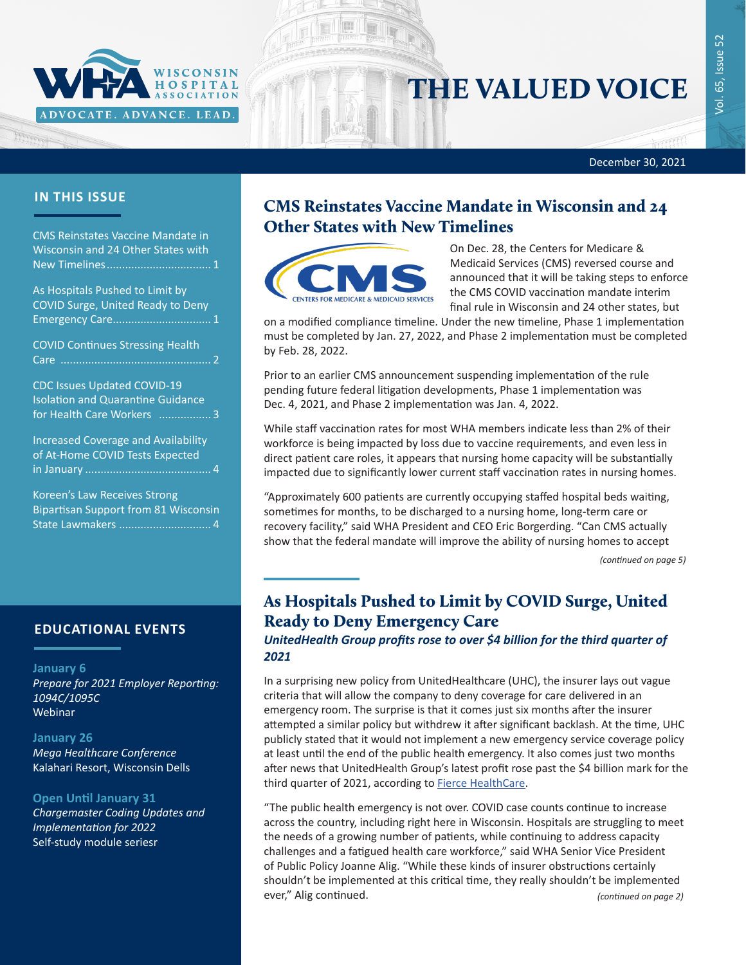

# THE VALUED VOICE

#### December 30, 2021

## **IN THIS ISSUE**

CMS Reinstates Vaccine Mandate in Wisconsin and 24 Other States with New Timelines.................................. 1

As Hospitals Pushed to Limit by COVID Surge, United Ready to Deny Emergency Care................................ 1

[COVID Continues Stressing Health](#page-1-0)  [Care .................................................](#page-1-0) 2

[CDC Issues Updated COVID-19](#page-2-0)  [Isolation and Quarantine Guidance](#page-2-0)  [for Health Care Workers .................](#page-2-0) 3

[Increased Coverage and Availability](#page-3-0)  [of At-Home COVID Tests Expected](#page-3-0)  in January [.........................................](#page-3-0) 4

[Koreen's Law Receives Strong](#page-3-0)  [Bipartisan Support from 81 Wisconsin](#page-3-0)  State Lawmakers [..............................](#page-3-0) 4

## **EDUCATIONAL EVENTS**

#### **January 6**

*[Prepare for 2021 Employer Reporting:](https://www.wha.org/AboutWHA/CalendarofEvents/Webinar-Online-Education/Employer-Reporting)  [1094C/1095C](https://www.wha.org/AboutWHA/CalendarofEvents/Webinar-Online-Education/Employer-Reporting)* Webinar

#### **January 26**

*[Mega Healthcare Conference](http://www.megawisconsin.com/)* Kalahari Resort, Wisconsin Dells

#### **Open Until January 31**

*[Chargemaster Coding Updates and](https://www.wha.org/Chargemaster2022-1)  [Implementation for 2022](https://www.wha.org/Chargemaster2022-1)* Self-study module seriesr

# CMS Reinstates Vaccine Mandate in Wisconsin and 24 Other States with New Timelines



On Dec. 28, the Centers for Medicare & Medicaid Services (CMS) reversed course and announced that it will be taking steps to enforce the CMS COVID vaccination mandate interim final rule in Wisconsin and 24 other states, but

on a modified compliance timeline. Under the new timeline, Phase 1 implementation must be completed by Jan. 27, 2022, and Phase 2 implementation must be completed by Feb. 28, 2022.

Prior to an earlier CMS announcement suspending implementation of the rule pending future federal litigation developments, Phase 1 implementation was Dec. 4, 2021, and Phase 2 implementation was Jan. 4, 2022.

While staff vaccination rates for most WHA members indicate less than 2% of their workforce is being impacted by loss due to vaccine requirements, and even less in direct patient care roles, it appears that nursing home capacity will be substantially impacted due to significantly lower current staff vaccination rates in nursing homes.

"Approximately 600 patients are currently occupying staffed hospital beds waiting, sometimes for months, to be discharged to a nursing home, long-term care or recovery facility," said WHA President and CEO Eric Borgerding. "Can CMS actually show that the federal mandate will improve the ability of nursing homes to accept

*(continued on page 5)*

# As Hospitals Pushed to Limit by COVID Surge, United Ready to Deny Emergency Care

*UnitedHealth Group profits rose to over \$4 billion for the third quarter of 2021* 

In a surprising new policy from UnitedHealthcare (UHC), the insurer lays out vague criteria that will allow the company to deny coverage for care delivered in an emergency room. The surprise is that it comes just six months after the insurer attempted a similar policy but withdrew it after significant backlash. At the time, UHC publicly stated that it would not implement a new emergency service coverage policy at least until the end of the public health emergency. It also comes just two months after news that UnitedHealth Group's latest profit rose past the \$4 billion mark for the third quarter of 2021, according to **Fierce HealthCare**.

"The public health emergency is not over. COVID case counts continue to increase across the country, including right here in Wisconsin. Hospitals are struggling to meet the needs of a growing number of patients, while continuing to address capacity challenges and a fatigued health care workforce," said WHA Senior Vice President of Public Policy Joanne Alig. "While these kinds of insurer obstructions certainly shouldn't be implemented at this critical time, they really shouldn't be implemented ever," Alig continued. *(continued on page 2)*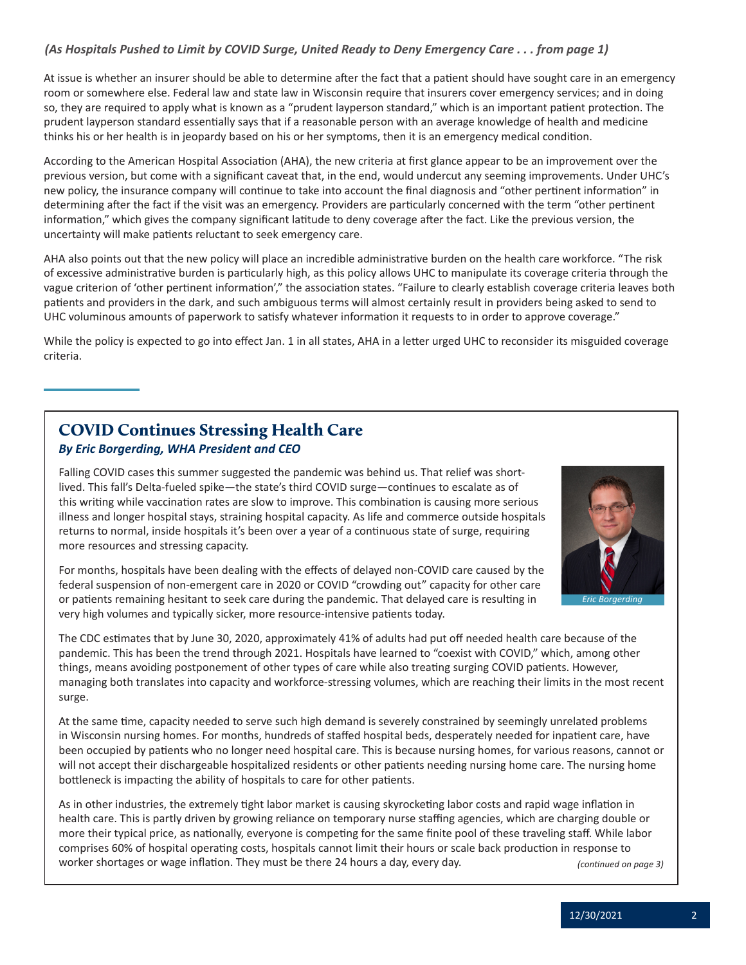## <span id="page-1-0"></span>*(As Hospitals Pushed to Limit by COVID Surge, United Ready to Deny Emergency Care . . . from page 1)*

At issue is whether an insurer should be able to determine after the fact that a patient should have sought care in an emergency room or somewhere else. Federal law and state law in Wisconsin require that insurers cover emergency services; and in doing so, they are required to apply what is known as a "prudent layperson standard," which is an important patient protection. The prudent layperson standard essentially says that if a reasonable person with an average knowledge of health and medicine thinks his or her health is in jeopardy based on his or her symptoms, then it is an emergency medical condition.

According to the American Hospital Association (AHA), the new criteria at first glance appear to be an improvement over the previous version, but come with a significant caveat that, in the end, would undercut any seeming improvements. Under UHC's new policy, the insurance company will continue to take into account the final diagnosis and "other pertinent information" in determining after the fact if the visit was an emergency. Providers are particularly concerned with the term "other pertinent information," which gives the company significant latitude to deny coverage after the fact. Like the previous version, the uncertainty will make patients reluctant to seek emergency care.

AHA also points out that the new policy will place an incredible administrative burden on the health care workforce. "The risk of excessive administrative burden is particularly high, as this policy allows UHC to manipulate its coverage criteria through the vague criterion of 'other pertinent information'," the association states. "Failure to clearly establish coverage criteria leaves both patients and providers in the dark, and such ambiguous terms will almost certainly result in providers being asked to send to UHC voluminous amounts of paperwork to satisfy whatever information it requests to in order to approve coverage."

While the policy is expected to go into effect Jan. 1 in all states, AHA in a letter urged UHC to reconsider its misguided coverage criteria.

## COVID Continues Stressing Health Care *By Eric Borgerding, WHA President and CEO*

#### Falling COVID cases this summer suggested the pandemic was behind us. That relief was shortlived. This fall's Delta-fueled spike—the state's third COVID surge—continues to escalate as of this writing while vaccination rates are slow to improve. This combination is causing more serious illness and longer hospital stays, straining hospital capacity. As life and commerce outside hospitals returns to normal, inside hospitals it's been over a year of a continuous state of surge, requiring more resources and stressing capacity.



For months, hospitals have been dealing with the effects of delayed non-COVID care caused by the federal suspension of non-emergent care in 2020 or COVID "crowding out" capacity for other care or patients remaining hesitant to seek care during the pandemic. That delayed care is resulting in very high volumes and typically sicker, more resource-intensive patients today.

The CDC estimates that by June 30, 2020, approximately 41% of adults had put off needed health care because of the pandemic. This has been the trend through 2021. Hospitals have learned to "coexist with COVID," which, among other things, means avoiding postponement of other types of care while also treating surging COVID patients. However, managing both translates into capacity and workforce-stressing volumes, which are reaching their limits in the most recent surge.

At the same time, capacity needed to serve such high demand is severely constrained by seemingly unrelated problems in Wisconsin nursing homes. For months, hundreds of staffed hospital beds, desperately needed for inpatient care, have been occupied by patients who no longer need hospital care. This is because nursing homes, for various reasons, cannot or will not accept their dischargeable hospitalized residents or other patients needing nursing home care. The nursing home bottleneck is impacting the ability of hospitals to care for other patients.

As in other industries, the extremely tight labor market is causing skyrocketing labor costs and rapid wage inflation in health care. This is partly driven by growing reliance on temporary nurse staffing agencies, which are charging double or more their typical price, as nationally, everyone is competing for the same finite pool of these traveling staff. While labor comprises 60% of hospital operating costs, hospitals cannot limit their hours or scale back production in response to worker shortages or wage inflation. They must be there 24 hours a day, every day. *(continued on page 3)*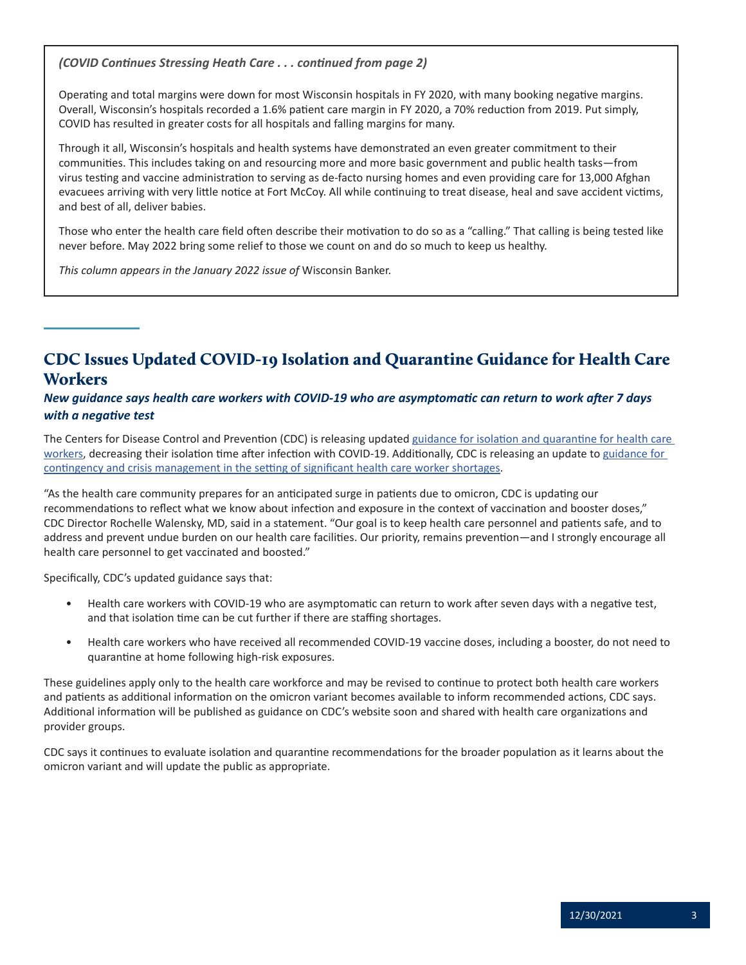<span id="page-2-0"></span>*(COVID Continues Stressing Heath Care . . . continued from page 2)*

Operating and total margins were down for most Wisconsin hospitals in FY 2020, with many booking negative margins. Overall, Wisconsin's hospitals recorded a 1.6% patient care margin in FY 2020, a 70% reduction from 2019. Put simply, COVID has resulted in greater costs for all hospitals and falling margins for many.

Through it all, Wisconsin's hospitals and health systems have demonstrated an even greater commitment to their communities. This includes taking on and resourcing more and more basic government and public health tasks—from virus testing and vaccine administration to serving as de-facto nursing homes and even providing care for 13,000 Afghan evacuees arriving with very little notice at Fort McCoy. All while continuing to treat disease, heal and save accident victims, and best of all, deliver babies.

Those who enter the health care field often describe their motivation to do so as a "calling." That calling is being tested like never before. May 2022 bring some relief to those we count on and do so much to keep us healthy.

*This column appears in the January 2022 issue of* Wisconsin Banker.

# CDC Issues Updated COVID-19 Isolation and Quarantine Guidance for Health Care **Workers**

## *New guidance says health care workers with COVID-19 who are asymptomatic can return to work after 7 days with a negative test*

The Centers for Disease Control and Prevention (CDC) is releasing updated guidance for isolation and quarantine for health care [workers](https://www.cdc.gov/coronavirus/2019-ncov/hcp/guidance-risk-assesment-hcp.html), decreasing their isolation time after infection with COVID-19. Additionally, CDC is releasing an update to [guidance for](https://www.cdc.gov/coronavirus/2019-ncov/hcp/mitigating-staff-shortages.html)  [contingency and crisis management in the setting of significant health care worker shortages](https://www.cdc.gov/coronavirus/2019-ncov/hcp/mitigating-staff-shortages.html).

"As the health care community prepares for an anticipated surge in patients due to omicron, CDC is updating our recommendations to reflect what we know about infection and exposure in the context of vaccination and booster doses," CDC Director Rochelle Walensky, MD, said in a statement. "Our goal is to keep health care personnel and patients safe, and to address and prevent undue burden on our health care facilities. Our priority, remains prevention—and I strongly encourage all health care personnel to get vaccinated and boosted."

Specifically, CDC's updated guidance says that:

- Health care workers with COVID-19 who are asymptomatic can return to work after seven days with a negative test, and that isolation time can be cut further if there are staffing shortages.
- Health care workers who have received all recommended COVID-19 vaccine doses, including a booster, do not need to quarantine at home following high-risk exposures.

These guidelines apply only to the health care workforce and may be revised to continue to protect both health care workers and patients as additional information on the omicron variant becomes available to inform recommended actions, CDC says. Additional information will be published as guidance on CDC's website soon and shared with health care organizations and provider groups.

CDC says it continues to evaluate isolation and quarantine recommendations for the broader population as it learns about the omicron variant and will update the public as appropriate.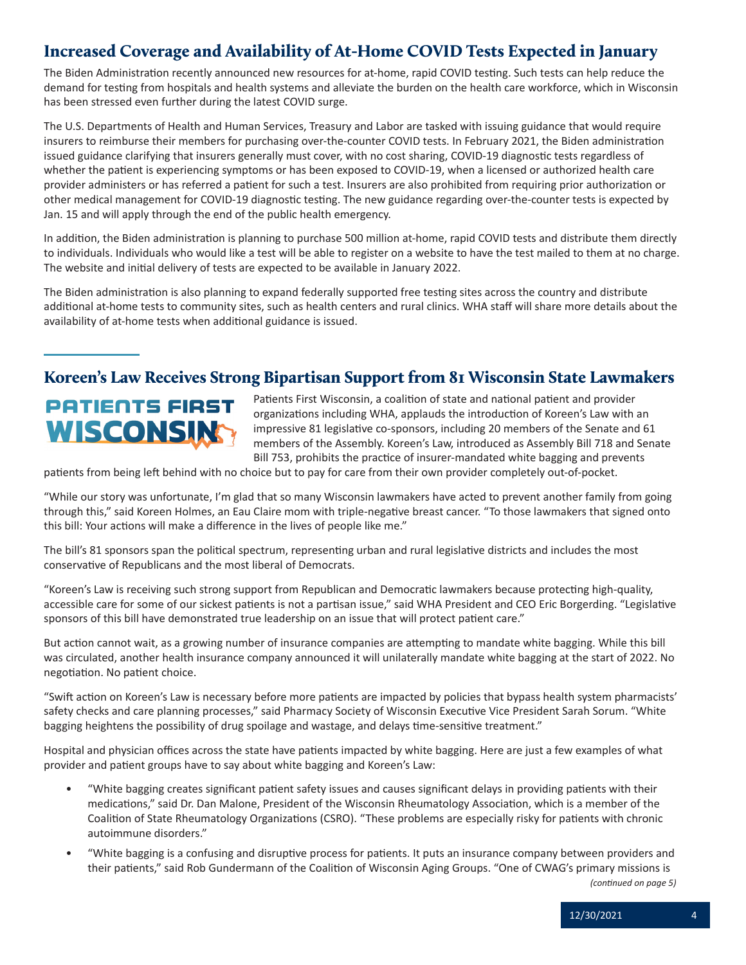# <span id="page-3-0"></span>Increased Coverage and Availability of At-Home COVID Tests Expected in January

The Biden Administration recently announced new resources for at-home, rapid COVID testing. Such tests can help reduce the demand for testing from hospitals and health systems and alleviate the burden on the health care workforce, which in Wisconsin has been stressed even further during the latest COVID surge.

The U.S. Departments of Health and Human Services, Treasury and Labor are tasked with issuing guidance that would require insurers to reimburse their members for purchasing over-the-counter COVID tests. In February 2021, the Biden administration issued guidance clarifying that insurers generally must cover, with no cost sharing, COVID-19 diagnostic tests regardless of whether the patient is experiencing symptoms or has been exposed to COVID-19, when a licensed or authorized health care provider administers or has referred a patient for such a test. Insurers are also prohibited from requiring prior authorization or other medical management for COVID-19 diagnostic testing. The new guidance regarding over-the-counter tests is expected by Jan. 15 and will apply through the end of the public health emergency.

In addition, the Biden administration is planning to purchase 500 million at-home, rapid COVID tests and distribute them directly to individuals. Individuals who would like a test will be able to register on a website to have the test mailed to them at no charge. The website and initial delivery of tests are expected to be available in January 2022.

The Biden administration is also planning to expand federally supported free testing sites across the country and distribute additional at-home tests to community sites, such as health centers and rural clinics. WHA staff will share more details about the availability of at-home tests when additional guidance is issued.

# Koreen's Law Receives Strong Bipartisan Support from 81 Wisconsin State Lawmakers

# **PATIENTS FIRST** WISCONSIN

Patients First Wisconsin, a coalition of state and national patient and provider organizations including WHA, applauds the introduction of Koreen's Law with an impressive 81 legislative co-sponsors, including 20 members of the Senate and 61 members of the Assembly. Koreen's Law, introduced as Assembly Bill 718 and Senate Bill 753, prohibits the practice of insurer-mandated white bagging and prevents

patients from being left behind with no choice but to pay for care from their own provider completely out-of-pocket.

"While our story was unfortunate, I'm glad that so many Wisconsin lawmakers have acted to prevent another family from going through this," said Koreen Holmes, an Eau Claire mom with triple-negative breast cancer. "To those lawmakers that signed onto this bill: Your actions will make a difference in the lives of people like me."

The bill's 81 sponsors span the political spectrum, representing urban and rural legislative districts and includes the most conservative of Republicans and the most liberal of Democrats.

"Koreen's Law is receiving such strong support from Republican and Democratic lawmakers because protecting high-quality, accessible care for some of our sickest patients is not a partisan issue," said WHA President and CEO Eric Borgerding. "Legislative sponsors of this bill have demonstrated true leadership on an issue that will protect patient care."

But action cannot wait, as a growing number of insurance companies are attempting to mandate white bagging. While this bill was circulated, another health insurance company announced it will unilaterally mandate white bagging at the start of 2022. No negotiation. No patient choice.

"Swift action on Koreen's Law is necessary before more patients are impacted by policies that bypass health system pharmacists' safety checks and care planning processes," said Pharmacy Society of Wisconsin Executive Vice President Sarah Sorum. "White bagging heightens the possibility of drug spoilage and wastage, and delays time-sensitive treatment."

Hospital and physician offices across the state have patients impacted by white bagging. Here are just a few examples of what provider and patient groups have to say about white bagging and Koreen's Law:

- "White bagging creates significant patient safety issues and causes significant delays in providing patients with their medications," said Dr. Dan Malone, President of the Wisconsin Rheumatology Association, which is a member of the Coalition of State Rheumatology Organizations (CSRO). "These problems are especially risky for patients with chronic autoimmune disorders."
- "White bagging is a confusing and disruptive process for patients. It puts an insurance company between providers and their patients," said Rob Gundermann of the Coalition of Wisconsin Aging Groups. "One of CWAG's primary missions is

*(continued on page 5)*